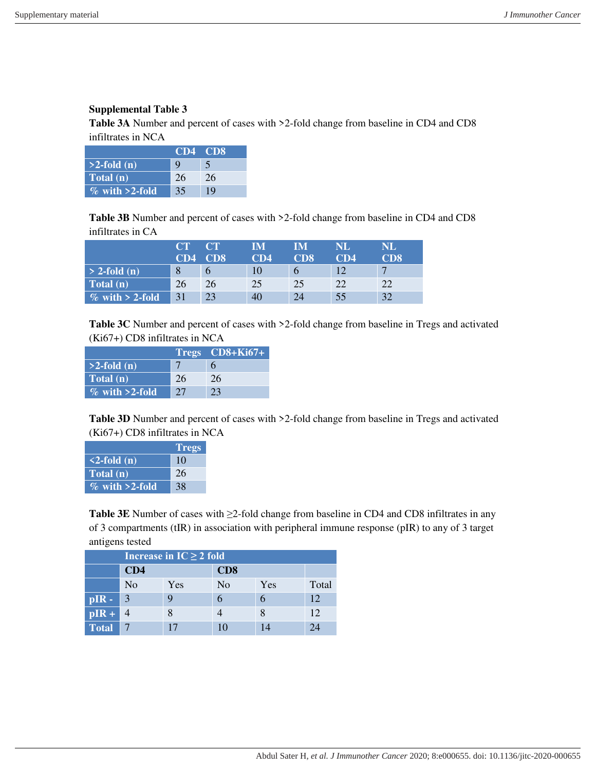## **Supplemental Table 3**

Table 3A Number and percent of cases with >2-fold change from baseline in CD4 and CD8 infiltrates in NCA

|                   | CD4 CD8 |    |
|-------------------|---------|----|
| $>2$ -fold (n)    |         |    |
| Total (n)         | 26      | 26 |
| $\%$ with >2-fold | 35      | 19 |

Table 3B Number and percent of cases with >2-fold change from baseline in CD4 and CD8 infiltrates in CA

|                    | CT  | CT              | IМ  | IM  | NL  | <b>NL</b>     |
|--------------------|-----|-----------------|-----|-----|-----|---------------|
|                    | CD4 | CD <sub>8</sub> | CD4 | CD8 | CD4 | CD8           |
| $> 2$ -fold (n)    |     |                 | 10  | b   |     |               |
| Total (n)          | 26  | 26              | 25  | 25  | 22  | $\mathcal{D}$ |
| $\%$ with > 2-fold | 31  | 23              | 40  | 24  | 55  | 32            |

Table 3C Number and percent of cases with >2-fold change from baseline in Tregs and activated (Ki67+) CD8 infiltrates in NCA

|                   |    | $Tregs$ $CD8+Ki67+$ |
|-------------------|----|---------------------|
| $>2$ -fold (n)    |    | h                   |
| Total (n)         | 26 | 26                  |
| $\%$ with >2-fold | 27 | 23                  |

**Table 3D** Number and percent of cases with >2-fold change from baseline in Tregs and activated (Ki67+) CD8 infiltrates in NCA

|                   | <b>Tregs</b> |
|-------------------|--------------|
| $\leq$ -fold (n)  | 10           |
| Total (n)         | 26           |
| $\%$ with >2-fold | 38           |

**Table 3E** Number of cases with ≥2-fold change from baseline in CD4 and CD8 infiltrates in any of 3 compartments (tIR) in association with peripheral immune response (pIR) to any of 3 target antigens tested

|              | Increase in $IC \ge 2$ fold |     |                 |     |       |  |  |
|--------------|-----------------------------|-----|-----------------|-----|-------|--|--|
|              | CD4                         |     | CD <sub>8</sub> |     |       |  |  |
|              | N <sub>o</sub>              | Yes | N <sub>0</sub>  | Yes | Total |  |  |
| $pIR -$      | 3                           |     |                 |     | 12    |  |  |
| $pIR +$      |                             |     |                 | 8   | 12    |  |  |
| <b>Total</b> |                             | 17  | 10              |     | 24    |  |  |